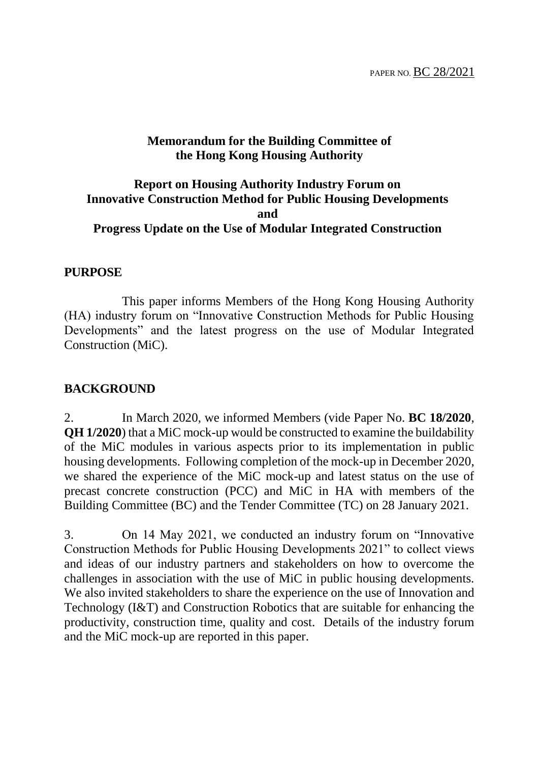#### **Memorandum for the Building Committee of the Hong Kong Housing Authority**

#### **Report on Housing Authority Industry Forum on Innovative Construction Method for Public Housing Developments and Progress Update on the Use of Modular Integrated Construction**

#### **PURPOSE**

This paper informs Members of the Hong Kong Housing Authority (HA) industry forum on "Innovative Construction Methods for Public Housing Developments" and the latest progress on the use of Modular Integrated Construction (MiC).

#### **BACKGROUND**

2. In March 2020, we informed Members (vide Paper No. **BC 18/2020**, **QH 1/2020**) that a MiC mock-up would be constructed to examine the buildability of the MiC modules in various aspects prior to its implementation in public housing developments. Following completion of the mock-up in December 2020, we shared the experience of the MiC mock-up and latest status on the use of precast concrete construction (PCC) and MiC in HA with members of the Building Committee (BC) and the Tender Committee (TC) on 28 January 2021.

3. On 14 May 2021, we conducted an industry forum on "Innovative Construction Methods for Public Housing Developments 2021" to collect views and ideas of our industry partners and stakeholders on how to overcome the challenges in association with the use of MiC in public housing developments. We also invited stakeholders to share the experience on the use of Innovation and Technology (I&T) and Construction Robotics that are suitable for enhancing the productivity, construction time, quality and cost. Details of the industry forum and the MiC mock-up are reported in this paper.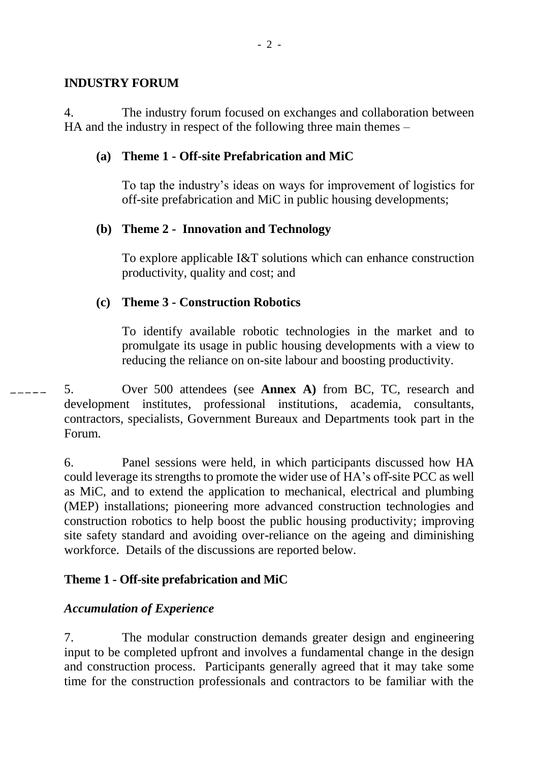#### **INDUSTRY FORUM**

4. The industry forum focused on exchanges and collaboration between HA and the industry in respect of the following three main themes –

#### **(a) Theme 1 - Off-site Prefabrication and MiC**

To tap the industry's ideas on ways for improvement of logistics for off-site prefabrication and MiC in public housing developments;

## **(b) Theme 2 - Innovation and Technology**

To explore applicable I&T solutions which can enhance construction productivity, quality and cost; and

## **(c) Theme 3 - Construction Robotics**

To identify available robotic technologies in the market and to promulgate its usage in public housing developments with a view to reducing the reliance on on-site labour and boosting productivity.

5. Over 500 attendees (see **Annex A)** from BC, TC, research and development institutes, professional institutions, academia, consultants, contractors, specialists, Government Bureaux and Departments took part in the Forum.

6. Panel sessions were held, in which participants discussed how HA could leverage its strengths to promote the wider use of HA's off-site PCC as well as MiC, and to extend the application to mechanical, electrical and plumbing (MEP) installations; pioneering more advanced construction technologies and construction robotics to help boost the public housing productivity; improving site safety standard and avoiding over-reliance on the ageing and diminishing workforce. Details of the discussions are reported below.

# **Theme 1 - Off-site prefabrication and MiC**

# *Accumulation of Experience*

7. The modular construction demands greater design and engineering input to be completed upfront and involves a fundamental change in the design and construction process. Participants generally agreed that it may take some time for the construction professionals and contractors to be familiar with the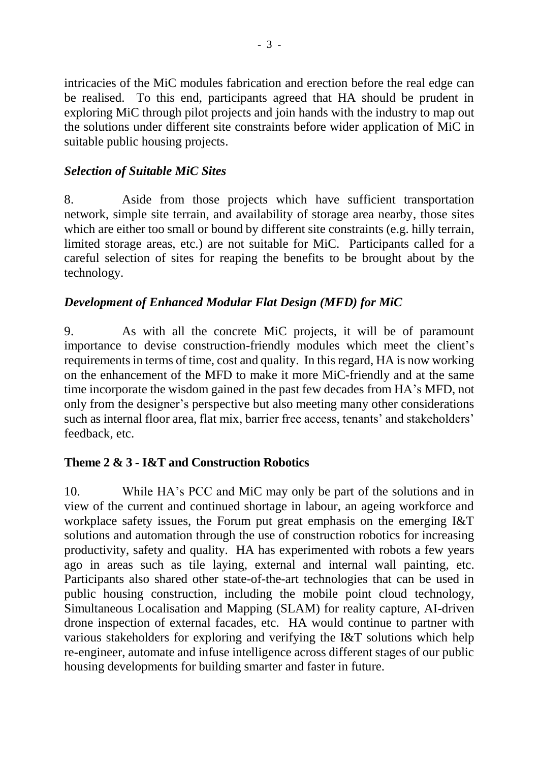intricacies of the MiC modules fabrication and erection before the real edge can be realised. To this end, participants agreed that HA should be prudent in exploring MiC through pilot projects and join hands with the industry to map out the solutions under different site constraints before wider application of MiC in suitable public housing projects.

# *Selection of Suitable MiC Sites*

8. Aside from those projects which have sufficient transportation network, simple site terrain, and availability of storage area nearby, those sites which are either too small or bound by different site constraints (e.g. hilly terrain, limited storage areas, etc.) are not suitable for MiC. Participants called for a careful selection of sites for reaping the benefits to be brought about by the technology.

# *Development of Enhanced Modular Flat Design (MFD) for MiC*

9. As with all the concrete MiC projects, it will be of paramount importance to devise construction-friendly modules which meet the client's requirements in terms of time, cost and quality. In this regard, HA is now working on the enhancement of the MFD to make it more MiC-friendly and at the same time incorporate the wisdom gained in the past few decades from HA's MFD, not only from the designer's perspective but also meeting many other considerations such as internal floor area, flat mix, barrier free access, tenants' and stakeholders' feedback, etc.

# **Theme 2 & 3 - I&T and Construction Robotics**

10. While HA's PCC and MiC may only be part of the solutions and in view of the current and continued shortage in labour, an ageing workforce and workplace safety issues, the Forum put great emphasis on the emerging I&T solutions and automation through the use of construction robotics for increasing productivity, safety and quality. HA has experimented with robots a few years ago in areas such as tile laying, external and internal wall painting, etc. Participants also shared other state-of-the-art technologies that can be used in public housing construction, including the mobile point cloud technology, Simultaneous Localisation and Mapping (SLAM) for reality capture, AI-driven drone inspection of external facades, etc. HA would continue to partner with various stakeholders for exploring and verifying the I&T solutions which help re-engineer, automate and infuse intelligence across different stages of our public housing developments for building smarter and faster in future.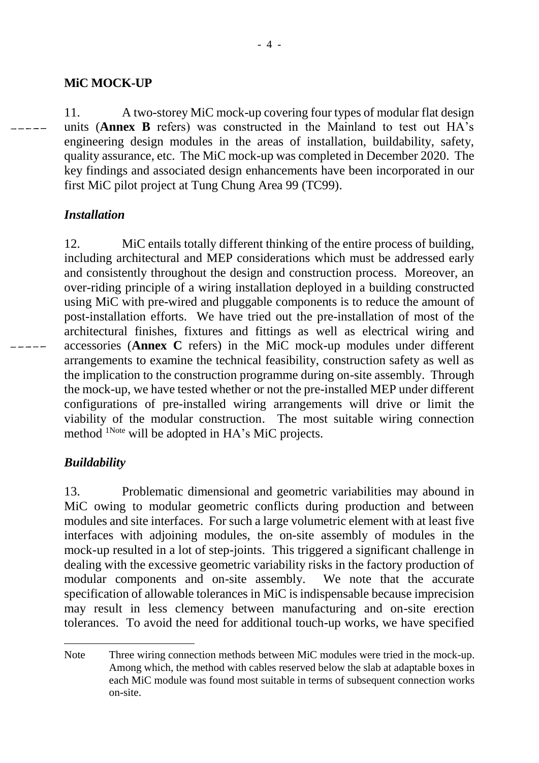## **MiC MOCK-UP**

11. A two-storey MiC mock-up covering four types of modular flat design units (**Annex B** refers) was constructed in the Mainland to test out HA's engineering design modules in the areas of installation, buildability, safety, quality assurance, etc. The MiC mock-up was completed in December 2020. The key findings and associated design enhancements have been incorporated in our first MiC pilot project at Tung Chung Area 99 (TC99).

# *Installation*

12. MiC entails totally different thinking of the entire process of building, including architectural and MEP considerations which must be addressed early and consistently throughout the design and construction process. Moreover, an over-riding principle of a wiring installation deployed in a building constructed using MiC with pre-wired and pluggable components is to reduce the amount of post-installation efforts. We have tried out the pre-installation of most of the architectural finishes, fixtures and fittings as well as electrical wiring and accessories (**Annex C** refers) in the MiC mock-up modules under different arrangements to examine the technical feasibility, construction safety as well as the implication to the construction programme during on-site assembly. Through the mock-up, we have tested whether or not the pre-installed MEP under different configurations of pre-installed wiring arrangements will drive or limit the viability of the modular construction. The most suitable wiring connection method <sup>1Note</sup> will be adopted in HA's MiC projects.

# *Buildability*

13. Problematic dimensional and geometric variabilities may abound in MiC owing to modular geometric conflicts during production and between modules and site interfaces. For such a large volumetric element with at least five interfaces with adjoining modules, the on-site assembly of modules in the mock-up resulted in a lot of step-joints. This triggered a significant challenge in dealing with the excessive geometric variability risks in the factory production of modular components and on-site assembly. We note that the accurate specification of allowable tolerances in MiC is indispensable because imprecision may result in less clemency between manufacturing and on-site erection tolerances. To avoid the need for additional touch-up works, we have specified

 $\overline{a}$ Note Three wiring connection methods between MiC modules were tried in the mock-up. Among which, the method with cables reserved below the slab at adaptable boxes in each MiC module was found most suitable in terms of subsequent connection works on-site.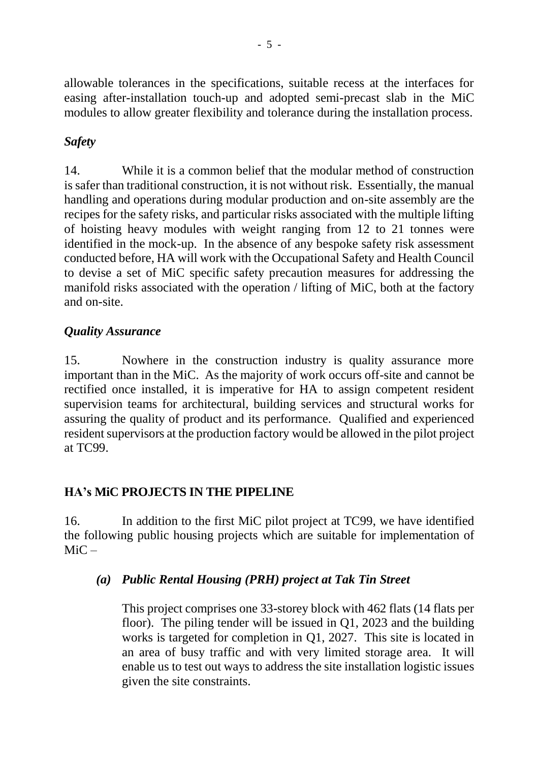allowable tolerances in the specifications, suitable recess at the interfaces for easing after-installation touch-up and adopted semi-precast slab in the MiC modules to allow greater flexibility and tolerance during the installation process.

# *Safety*

14. While it is a common belief that the modular method of construction is safer than traditional construction, it is not without risk. Essentially, the manual handling and operations during modular production and on-site assembly are the recipes for the safety risks, and particular risks associated with the multiple lifting of hoisting heavy modules with weight ranging from 12 to 21 tonnes were identified in the mock-up. In the absence of any bespoke safety risk assessment conducted before, HA will work with the Occupational Safety and Health Council to devise a set of MiC specific safety precaution measures for addressing the manifold risks associated with the operation / lifting of MiC, both at the factory and on-site.

# *Quality Assurance*

15. Nowhere in the construction industry is quality assurance more important than in the MiC. As the majority of work occurs off-site and cannot be rectified once installed, it is imperative for HA to assign competent resident supervision teams for architectural, building services and structural works for assuring the quality of product and its performance. Qualified and experienced resident supervisors at the production factory would be allowed in the pilot project at TC99.

#### **HA's MiC PROJECTS IN THE PIPELINE**

16. In addition to the first MiC pilot project at TC99, we have identified the following public housing projects which are suitable for implementation of  $MiC -$ 

#### *(a) Public Rental Housing (PRH) project at Tak Tin Street*

This project comprises one 33-storey block with 462 flats (14 flats per floor). The piling tender will be issued in Q1, 2023 and the building works is targeted for completion in Q1, 2027. This site is located in an area of busy traffic and with very limited storage area. It will enable us to test out ways to address the site installation logistic issues given the site constraints.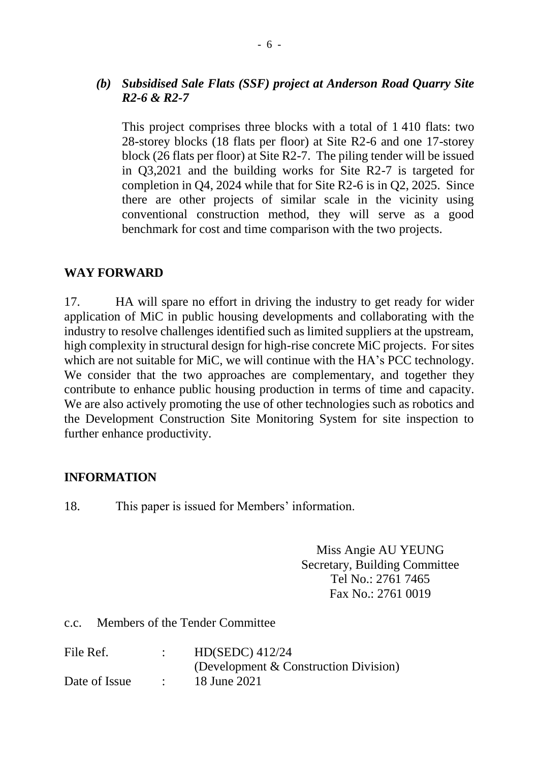#### *(b) Subsidised Sale Flats (SSF) project at Anderson Road Quarry Site R2-6 & R2-7*

This project comprises three blocks with a total of 1 410 flats: two 28-storey blocks (18 flats per floor) at Site R2-6 and one 17-storey block (26 flats per floor) at Site R2-7. The piling tender will be issued in Q3,2021 and the building works for Site R2-7 is targeted for completion in Q4, 2024 while that for Site R2-6 is in Q2, 2025. Since there are other projects of similar scale in the vicinity using conventional construction method, they will serve as a good benchmark for cost and time comparison with the two projects.

#### **WAY FORWARD**

17. HA will spare no effort in driving the industry to get ready for wider application of MiC in public housing developments and collaborating with the industry to resolve challenges identified such as limited suppliers at the upstream, high complexity in structural design for high-rise concrete MiC projects. For sites which are not suitable for MiC, we will continue with the HA's PCC technology. We consider that the two approaches are complementary, and together they contribute to enhance public housing production in terms of time and capacity. We are also actively promoting the use of other technologies such as robotics and the Development Construction Site Monitoring System for site inspection to further enhance productivity.

#### **INFORMATION**

18. This paper is issued for Members' information.

Miss Angie AU YEUNG Secretary, Building Committee Tel No.: 2761 7465 Fax No.: 2761 0019

c.c. Members of the Tender Committee

| File Ref.     | HD(SEDC) 412/24                       |
|---------------|---------------------------------------|
|               | (Development & Construction Division) |
| Date of Issue | 18 June 2021                          |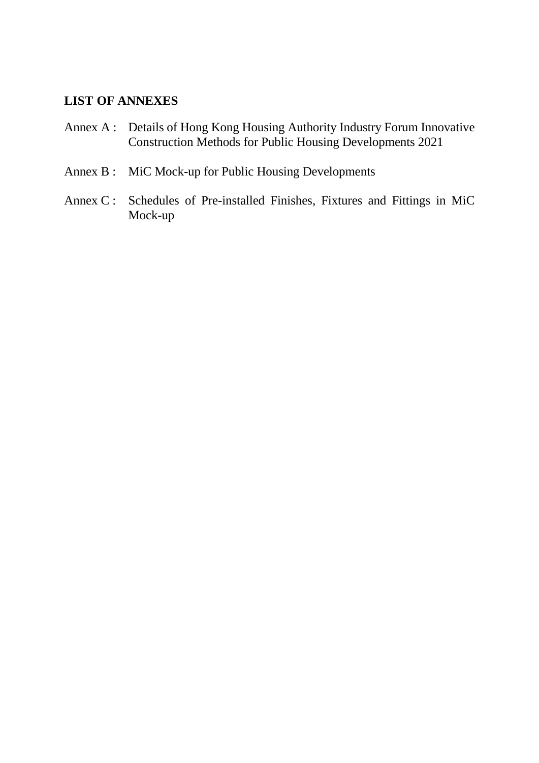#### **LIST OF ANNEXES**

- Annex A : Details of Hong Kong Housing Authority Industry Forum Innovative Construction Methods for Public Housing Developments 2021
- Annex B : MiC Mock-up for Public Housing Developments
- Annex C : Schedules of Pre-installed Finishes, Fixtures and Fittings in MiC Mock-up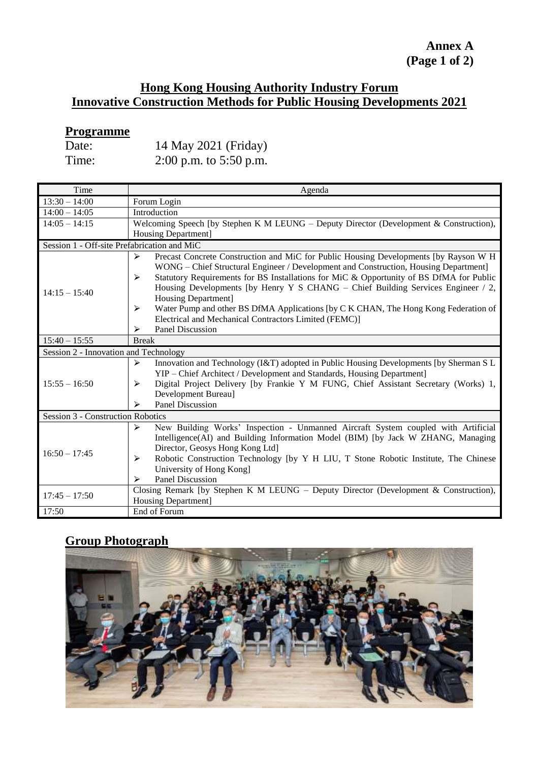## **Annex A (Page 1 of 2)**

#### **Hong Kong Housing Authority Industry Forum Innovative Construction Methods for Public Housing Developments 2021**

# **Programme**

| Date: | 14 May 2021 (Friday)     |
|-------|--------------------------|
| Time: | 2:00 p.m. to $5:50$ p.m. |

| Time                                        | Agenda                                                                                       |  |  |
|---------------------------------------------|----------------------------------------------------------------------------------------------|--|--|
| $13:30 - 14:00$                             | Forum Login                                                                                  |  |  |
| $14:00 - 14:05$                             | Introduction                                                                                 |  |  |
| $14:05 - 14:15$                             | Welcoming Speech [by Stephen K M LEUNG – Deputy Director (Development & Construction),       |  |  |
|                                             | <b>Housing Department]</b>                                                                   |  |  |
| Session 1 - Off-site Prefabrication and MiC |                                                                                              |  |  |
|                                             | Precast Concrete Construction and MiC for Public Housing Developments [by Rayson W H<br>↘    |  |  |
|                                             | WONG – Chief Structural Engineer / Development and Construction, Housing Department]         |  |  |
|                                             | Statutory Requirements for BS Installations for MiC & Opportunity of BS DfMA for Public<br>⋗ |  |  |
| $14:15 - 15:40$                             | Housing Developments [by Henry Y S CHANG – Chief Building Services Engineer / 2,             |  |  |
|                                             | Housing Department]                                                                          |  |  |
|                                             | Water Pump and other BS DfMA Applications [by C K CHAN, The Hong Kong Federation of<br>⋗     |  |  |
|                                             | Electrical and Mechanical Contractors Limited (FEMC)]                                        |  |  |
|                                             | <b>Panel Discussion</b><br>⋗                                                                 |  |  |
| $15:40 - 15:55$                             | <b>Break</b>                                                                                 |  |  |
| Session 2 - Innovation and Technology       |                                                                                              |  |  |
|                                             | Innovation and Technology (I&T) adopted in Public Housing Developments [by Sherman S L<br>➤  |  |  |
|                                             | YIP - Chief Architect / Development and Standards, Housing Department]                       |  |  |
| $15:55 - 16:50$                             | Digital Project Delivery [by Frankie Y M FUNG, Chief Assistant Secretary (Works) 1,<br>⋗     |  |  |
|                                             | Development Bureau]                                                                          |  |  |
|                                             | <b>Panel Discussion</b><br>⋗                                                                 |  |  |
| Session 3 - Construction Robotics           |                                                                                              |  |  |
| $16:50 - 17:45$                             | New Building Works' Inspection - Unmanned Aircraft System coupled with Artificial<br>➤       |  |  |
|                                             | Intelligence(AI) and Building Information Model (BIM) [by Jack W ZHANG, Managing             |  |  |
|                                             | Director, Geosys Hong Kong Ltd]                                                              |  |  |
|                                             | Robotic Construction Technology [by Y H LIU, T Stone Robotic Institute, The Chinese<br>➤     |  |  |
|                                             | University of Hong Kong]                                                                     |  |  |
|                                             | <b>Panel Discussion</b><br>➤                                                                 |  |  |
| $17:45 - 17:50$                             | Closing Remark [by Stephen K M LEUNG – Deputy Director (Development & Construction),         |  |  |
|                                             | Housing Department]                                                                          |  |  |
| 17:50                                       | End of Forum                                                                                 |  |  |

# **Group Photograph**

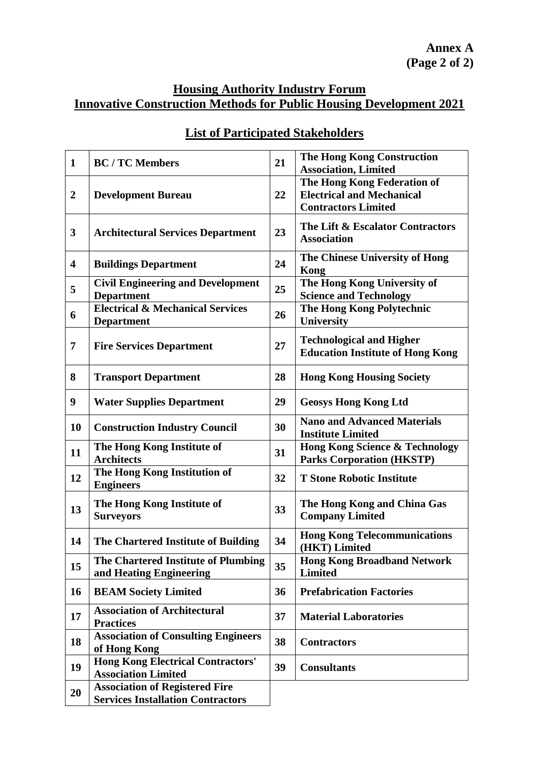#### **Housing Authority Industry Forum Innovative Construction Methods for Public Housing Development 2021**

| $\mathbf{1}$            | <b>BC</b> / <b>TC</b> Members                                                     | 21 | <b>The Hong Kong Construction</b><br><b>Association, Limited</b>                              |
|-------------------------|-----------------------------------------------------------------------------------|----|-----------------------------------------------------------------------------------------------|
| $\overline{2}$          | <b>Development Bureau</b>                                                         | 22 | The Hong Kong Federation of<br><b>Electrical and Mechanical</b><br><b>Contractors Limited</b> |
| 3                       | <b>Architectural Services Department</b>                                          | 23 | The Lift & Escalator Contractors<br><b>Association</b>                                        |
| $\overline{\mathbf{4}}$ | <b>Buildings Department</b>                                                       | 24 | The Chinese University of Hong<br>Kong                                                        |
| 5                       | <b>Civil Engineering and Development</b><br><b>Department</b>                     | 25 | The Hong Kong University of<br><b>Science and Technology</b>                                  |
| 6                       | <b>Electrical &amp; Mechanical Services</b><br><b>Department</b>                  | 26 | The Hong Kong Polytechnic<br>University                                                       |
| $\overline{7}$          | <b>Fire Services Department</b>                                                   | 27 | <b>Technological and Higher</b><br><b>Education Institute of Hong Kong</b>                    |
| 8                       | <b>Transport Department</b>                                                       | 28 | <b>Hong Kong Housing Society</b>                                                              |
| 9                       | <b>Water Supplies Department</b>                                                  | 29 | <b>Geosys Hong Kong Ltd</b>                                                                   |
| 10                      | <b>Construction Industry Council</b>                                              | 30 | <b>Nano and Advanced Materials</b><br><b>Institute Limited</b>                                |
| 11                      | The Hong Kong Institute of<br><b>Architects</b>                                   | 31 | <b>Hong Kong Science &amp; Technology</b><br><b>Parks Corporation (HKSTP)</b>                 |
| 12                      | The Hong Kong Institution of<br><b>Engineers</b>                                  | 32 | <b>T Stone Robotic Institute</b>                                                              |
| 13                      | The Hong Kong Institute of<br><b>Surveyors</b>                                    | 33 | The Hong Kong and China Gas<br><b>Company Limited</b>                                         |
| 14                      | The Chartered Institute of Building                                               | 34 | <b>Hong Kong Telecommunications</b><br>(HKT) Limited                                          |
| 15                      | The Chartered Institute of Plumbing<br>and Heating Engineering                    | 35 | <b>Hong Kong Broadband Network</b><br><b>Limited</b>                                          |
| 16                      | <b>BEAM Society Limited</b>                                                       | 36 | <b>Prefabrication Factories</b>                                                               |
| 17                      | <b>Association of Architectural</b><br><b>Practices</b>                           | 37 | <b>Material Laboratories</b>                                                                  |
| 18                      | <b>Association of Consulting Engineers</b><br>of Hong Kong                        | 38 | <b>Contractors</b>                                                                            |
| 19                      | <b>Hong Kong Electrical Contractors'</b><br><b>Association Limited</b>            | 39 | <b>Consultants</b>                                                                            |
| 20                      | <b>Association of Registered Fire</b><br><b>Services Installation Contractors</b> |    |                                                                                               |

# **List of Participated Stakeholders**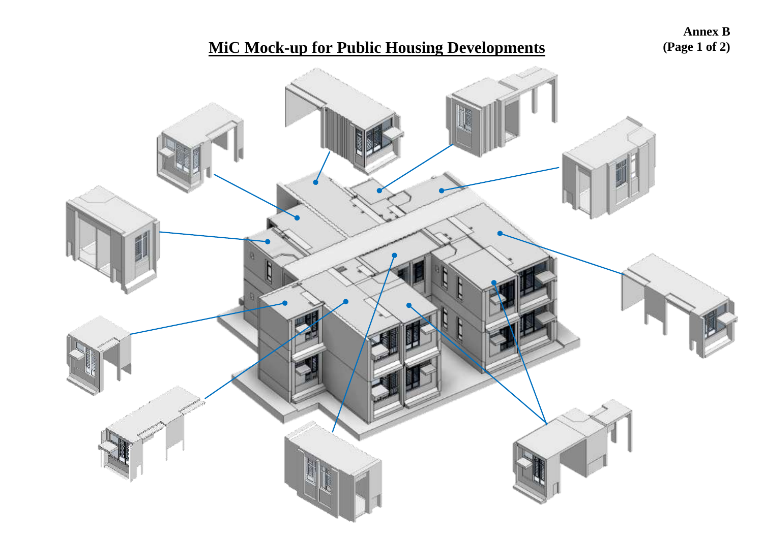# **MiC Mock -up for Public Housing Developments**

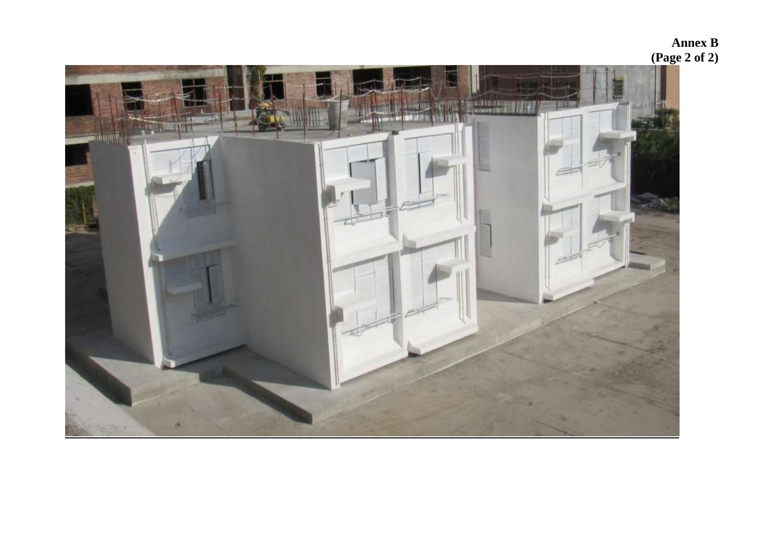# s di di di Le Brita<br>Nationale di Brita MAIA **CERANTI EBVILLE** V  $-$  in milly

**Annex B (Page 2 of 2)**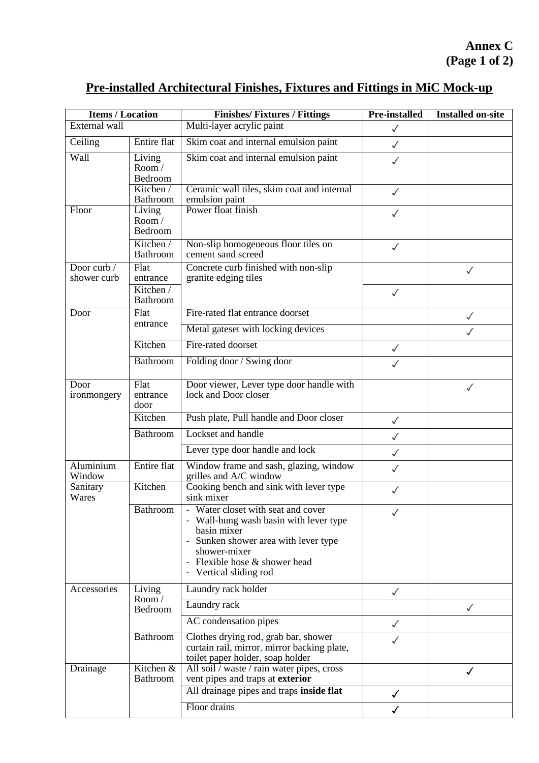# **Pre-installed Architectural Finishes, Fixtures and Fittings in MiC Mock-up**

| <b>Items / Location</b>    |                            | <b>Finishes/Fixtures / Fittings</b>                                                                                                                                                                      | <b>Pre-installed</b> | <b>Installed on-site</b> |
|----------------------------|----------------------------|----------------------------------------------------------------------------------------------------------------------------------------------------------------------------------------------------------|----------------------|--------------------------|
| External wall              |                            | Multi-layer acrylic paint                                                                                                                                                                                | $\checkmark$         |                          |
| Ceiling                    | Entire flat                | Skim coat and internal emulsion paint                                                                                                                                                                    | $\checkmark$         |                          |
| Wall                       | Living<br>Room/<br>Bedroom | Skim coat and internal emulsion paint                                                                                                                                                                    | $\checkmark$         |                          |
|                            | Kitchen /<br>Bathroom      | Ceramic wall tiles, skim coat and internal<br>emulsion paint                                                                                                                                             | $\checkmark$         |                          |
| Floor                      | Living<br>Room/<br>Bedroom | Power float finish                                                                                                                                                                                       |                      |                          |
|                            | Kitchen /<br>Bathroom      | Non-slip homogeneous floor tiles on<br>cement sand screed                                                                                                                                                | $\checkmark$         |                          |
| Door curb /<br>shower curb | Flat<br>entrance           | Concrete curb finished with non-slip<br>granite edging tiles                                                                                                                                             |                      | $\checkmark$             |
|                            | Kitchen /<br>Bathroom      |                                                                                                                                                                                                          | $\checkmark$         |                          |
| Door                       | Flat                       | Fire-rated flat entrance doorset                                                                                                                                                                         |                      | ✓                        |
|                            | entrance                   | Metal gateset with locking devices                                                                                                                                                                       |                      | $\checkmark$             |
|                            | Kitchen                    | Fire-rated doorset                                                                                                                                                                                       | $\checkmark$         |                          |
|                            | Bathroom                   | Folding door / Swing door                                                                                                                                                                                | $\checkmark$         |                          |
| Door<br>ironmongery        | Flat<br>entrance<br>door   | Door viewer, Lever type door handle with<br>lock and Door closer                                                                                                                                         |                      |                          |
|                            | Kitchen                    | Push plate, Pull handle and Door closer                                                                                                                                                                  | $\checkmark$         |                          |
|                            | Bathroom                   | Lockset and handle                                                                                                                                                                                       | $\checkmark$         |                          |
|                            |                            | Lever type door handle and lock                                                                                                                                                                          | $\checkmark$         |                          |
| Aluminium<br>Window        | Entire flat                | Window frame and sash, glazing, window<br>grilles and A/C window                                                                                                                                         | $\checkmark$         |                          |
| Sanitary<br>Wares          | Kitchen                    | Cooking bench and sink with lever type<br>sink mixer                                                                                                                                                     |                      |                          |
|                            | Bathroom                   | Water closet with seat and cover<br>- Wall-hung wash basin with lever type<br>basin mixer<br>Sunken shower area with lever type<br>shower-mixer<br>Flexible hose & shower head<br>- Vertical sliding rod |                      |                          |
| Accessories                | Living<br>Room/<br>Bedroom | Laundry rack holder                                                                                                                                                                                      | $\checkmark$         |                          |
|                            |                            | Laundry rack                                                                                                                                                                                             |                      |                          |
|                            |                            | AC condensation pipes                                                                                                                                                                                    | $\checkmark$         |                          |
|                            | Bathroom                   | Clothes drying rod, grab bar, shower<br>curtain rail, mirror, mirror backing plate,<br>toilet paper holder, soap holder                                                                                  |                      |                          |
| Drainage                   | Kitchen &<br>Bathroom      | All soil / waste / rain water pipes, cross<br>vent pipes and traps at exterior                                                                                                                           |                      |                          |
|                            |                            | All drainage pipes and traps inside flat                                                                                                                                                                 | $\checkmark$         |                          |
|                            |                            | Floor drains                                                                                                                                                                                             | $\checkmark$         |                          |